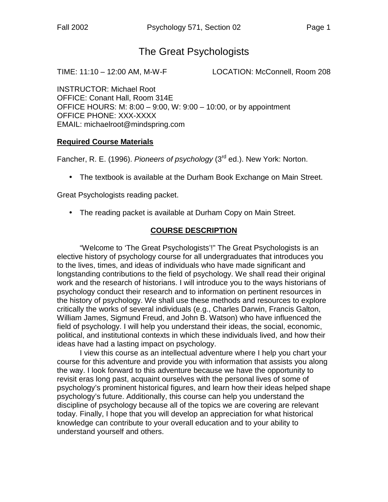# The Great Psychologists

TIME: 11:10 – 12:00 AM, M-W-F LOCATION: McConnell, Room 208

INSTRUCTOR: Michael Root OFFICE: Conant Hall, Room 314E OFFICE HOURS: M: 8:00 – 9:00, W: 9:00 – 10:00, or by appointment OFFICE PHONE: XXX-XXXX EMAIL: michaelroot@mindspring.com

#### **Required Course Materials**

Fancher, R. E. (1996). *Pioneers of psychology* (3rd ed.). New York: Norton.

• The textbook is available at the Durham Book Exchange on Main Street.

Great Psychologists reading packet.

• The reading packet is available at Durham Copy on Main Street.

#### **COURSE DESCRIPTION**

 "Welcome to 'The Great Psychologists'!" The Great Psychologists is an elective history of psychology course for all undergraduates that introduces you to the lives, times, and ideas of individuals who have made significant and longstanding contributions to the field of psychology. We shall read their original work and the research of historians. I will introduce you to the ways historians of psychology conduct their research and to information on pertinent resources in the history of psychology. We shall use these methods and resources to explore critically the works of several individuals (e.g., Charles Darwin, Francis Galton, William James, Sigmund Freud, and John B. Watson) who have influenced the field of psychology. I will help you understand their ideas, the social, economic, political, and institutional contexts in which these individuals lived, and how their ideas have had a lasting impact on psychology.

 I view this course as an intellectual adventure where I help you chart your course for this adventure and provide you with information that assists you along the way. I look forward to this adventure because we have the opportunity to revisit eras long past, acquaint ourselves with the personal lives of some of psychology's prominent historical figures, and learn how their ideas helped shape psychology's future. Additionally, this course can help you understand the discipline of psychology because all of the topics we are covering are relevant today. Finally, I hope that you will develop an appreciation for what historical knowledge can contribute to your overall education and to your ability to understand yourself and others.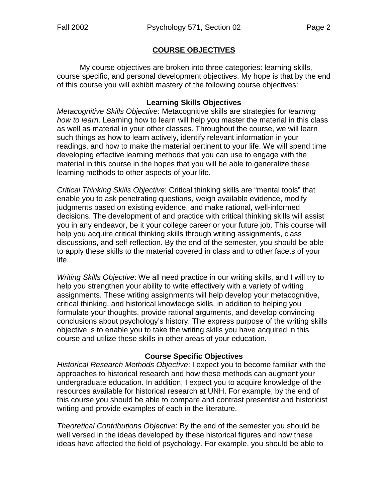#### **COURSE OBJECTIVES**

 My course objectives are broken into three categories: learning skills, course specific, and personal development objectives. My hope is that by the end of this course you will exhibit mastery of the following course objectives:

#### **Learning Skills Objectives**

*Metacognitive Skills Objective*: Metacognitive skills are strategies for *learning how to learn*. Learning how to learn will help you master the material in this class as well as material in your other classes. Throughout the course, we will learn such things as how to learn actively, identify relevant information in your readings, and how to make the material pertinent to your life. We will spend time developing effective learning methods that you can use to engage with the material in this course in the hopes that you will be able to generalize these learning methods to other aspects of your life.

*Critical Thinking Skills Objective*: Critical thinking skills are "mental tools" that enable you to ask penetrating questions, weigh available evidence, modify judgments based on existing evidence, and make rational, well-informed decisions. The development of and practice with critical thinking skills will assist you in any endeavor, be it your college career or your future job. This course will help you acquire critical thinking skills through writing assignments, class discussions, and self-reflection. By the end of the semester, you should be able to apply these skills to the material covered in class and to other facets of your life.

*Writing Skills Objective*: We all need practice in our writing skills, and I will try to help you strengthen your ability to write effectively with a variety of writing assignments. These writing assignments will help develop your metacognitive, critical thinking, and historical knowledge skills, in addition to helping you formulate your thoughts, provide rational arguments, and develop convincing conclusions about psychology's history. The express purpose of the writing skills objective is to enable you to take the writing skills you have acquired in this course and utilize these skills in other areas of your education.

#### **Course Specific Objectives**

*Historical Research Methods Objective*: I expect you to become familiar with the approaches to historical research and how these methods can augment your undergraduate education. In addition, I expect you to acquire knowledge of the resources available for historical research at UNH. For example, by the end of this course you should be able to compare and contrast presentist and historicist writing and provide examples of each in the literature.

*Theoretical Contributions Objective*: By the end of the semester you should be well versed in the ideas developed by these historical figures and how these ideas have affected the field of psychology. For example, you should be able to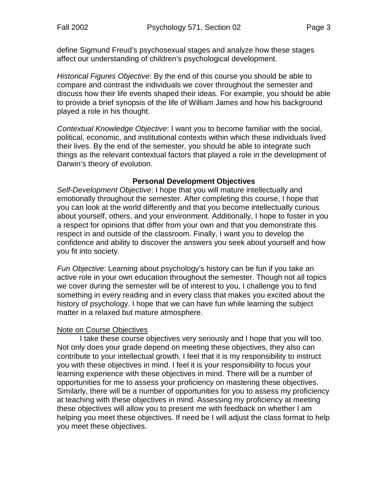define Sigmund Freud's psychosexual stages and analyze how these stages affect our understanding of children's psychological development.

*Historical Figures Objective*: By the end of this course you should be able to compare and contrast the individuals we cover throughout the semester and discuss how their life events shaped their ideas. For example, you should be able to provide a brief synopsis of the life of William James and how his background played a role in his thought.

*Contextual Knowledge Objective*: I want you to become familiar with the social, political, economic, and institutional contexts within which these individuals lived their lives. By the end of the semester, you should be able to integrate such things as the relevant contextual factors that played a role in the development of Darwin's theory of evolution.

#### **Personal Development Objectives**

*Self-Development Objective*: I hope that you will mature intellectually and emotionally throughout the semester. After completing this course, I hope that you can look at the world differently and that you become intellectually curious about yourself, others, and your environment. Additionally, I hope to foster in you a respect for opinions that differ from your own and that you demonstrate this respect in and outside of the classroom. Finally, I want you to develop the confidence and ability to discover the answers you seek about yourself and how you fit into society.

*Fun Objective*: Learning about psychology's history can be fun if you take an active role in your own education throughout the semester. Though not all topics we cover during the semester will be of interest to you, I challenge you to find something in every reading and in every class that makes you excited about the history of psychology. I hope that we can have fun while learning the subject matter in a relaxed but mature atmosphere.

#### Note on Course Objectives

 I take these course objectives very seriously and I hope that you will too. Not only does your grade depend on meeting these objectives, they also can contribute to your intellectual growth. I feel that it is my responsibility to instruct you with these objectives in mind. I feel it is your responsibility to focus your learning experience with these objectives in mind. There will be a number of opportunities for me to assess your proficiency on mastering these objectives. Similarly, there will be a number of opportunities for you to assess my proficiency at teaching with these objectives in mind. Assessing my proficiency at meeting these objectives will allow you to present me with feedback on whether I am helping you meet these objectives. If need be I will adjust the class format to help you meet these objectives.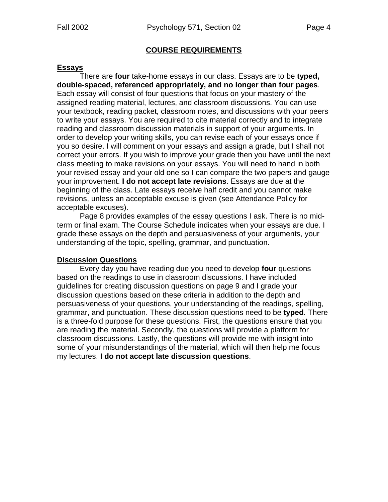#### **COURSE REQUIREMENTS**

#### **Essays**

 There are **four** take-home essays in our class. Essays are to be **typed, double-spaced, referenced appropriately, and no longer than four pages**. Each essay will consist of four questions that focus on your mastery of the assigned reading material, lectures, and classroom discussions. You can use your textbook, reading packet, classroom notes, and discussions with your peers to write your essays. You are required to cite material correctly and to integrate reading and classroom discussion materials in support of your arguments. In order to develop your writing skills, you can revise each of your essays once if you so desire. I will comment on your essays and assign a grade, but I shall not correct your errors. If you wish to improve your grade then you have until the next class meeting to make revisions on your essays. You will need to hand in both your revised essay and your old one so I can compare the two papers and gauge your improvement. **I do not accept late revisions**. Essays are due at the beginning of the class. Late essays receive half credit and you cannot make revisions, unless an acceptable excuse is given (see Attendance Policy for acceptable excuses).

 Page 8 provides examples of the essay questions I ask. There is no midterm or final exam. The Course Schedule indicates when your essays are due. I grade these essays on the depth and persuasiveness of your arguments, your understanding of the topic, spelling, grammar, and punctuation.

#### **Discussion Questions**

 Every day you have reading due you need to develop **four** questions based on the readings to use in classroom discussions. I have included guidelines for creating discussion questions on page 9 and I grade your discussion questions based on these criteria in addition to the depth and persuasiveness of your questions, your understanding of the readings, spelling, grammar, and punctuation. These discussion questions need to be **typed**. There is a three-fold purpose for these questions. First, the questions ensure that you are reading the material. Secondly, the questions will provide a platform for classroom discussions. Lastly, the questions will provide me with insight into some of your misunderstandings of the material, which will then help me focus my lectures. **I do not accept late discussion questions**.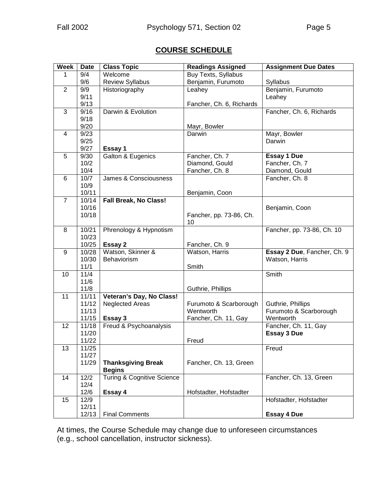# **COURSE SCHEDULE**

| <b>Week</b>             | <b>Date</b>    | <b>Class Topic</b>                    | <b>Readings Assigned</b> | <b>Assignment Due Dates</b>         |
|-------------------------|----------------|---------------------------------------|--------------------------|-------------------------------------|
| 1                       | 9/4            | Welcome                               | Buy Texts, Syllabus      |                                     |
|                         | 9/6            | <b>Review Syllabus</b>                | Benjamin, Furumoto       | Syllabus                            |
| $\overline{2}$          | 9/9            | Historiography                        | Leahey                   | Benjamin, Furumoto                  |
|                         | 9/11           |                                       |                          | Leahey                              |
|                         | 9/13           |                                       | Fancher, Ch. 6, Richards |                                     |
| 3                       | 9/16           | Darwin & Evolution                    |                          | Fancher, Ch. 6, Richards            |
|                         | 9/18           |                                       |                          |                                     |
|                         | 9/20           |                                       | Mayr, Bowler             |                                     |
| $\overline{\mathbf{4}}$ | 9/23           |                                       | Darwin                   | Mayr, Bowler                        |
|                         | 9/25           |                                       |                          | Darwin                              |
|                         | 9/27           | Essay 1                               |                          |                                     |
| 5                       | 9/30           | Galton & Eugenics                     | Fancher, Ch. 7           | <b>Essay 1 Due</b>                  |
|                         | 10/2           |                                       | Diamond, Gould           | Fancher, Ch. 7                      |
|                         | 10/4<br>10/7   | James & Consciousness                 | Fancher, Ch. 8           | Diamond, Gould<br>Fancher, Ch. 8    |
| 6                       | 10/9           |                                       |                          |                                     |
|                         | 10/11          |                                       | Benjamin, Coon           |                                     |
| $\overline{7}$          | 10/14          | <b>Fall Break, No Class!</b>          |                          |                                     |
|                         | 10/16          |                                       |                          | Benjamin, Coon                      |
|                         | 10/18          |                                       | Fancher, pp. 73-86, Ch.  |                                     |
|                         |                |                                       | 10                       |                                     |
| 8                       | 10/21          | Phrenology & Hypnotism                |                          | Fancher, pp. 73-86, Ch. 10          |
|                         | 10/23          |                                       |                          |                                     |
|                         | 10/25          | Essay 2                               | Fancher, Ch. 9           |                                     |
| 9                       | 10/28          | Watson, Skinner &                     | Watson, Harris           | Essay 2 Due, Fancher, Ch. 9         |
|                         | 10/30          | Behaviorism                           |                          | Watson, Harris                      |
|                         | 11/1           |                                       | Smith                    |                                     |
| 10                      | 11/4           |                                       |                          | Smith                               |
|                         | 11/6           |                                       |                          |                                     |
|                         | 11/8           |                                       | Guthrie, Phillips        |                                     |
| 11                      | 11/11          | Veteran's Day, No Class!              |                          |                                     |
|                         | 11/12          | <b>Neglected Areas</b>                | Furumoto & Scarborough   | Guthrie, Phillips                   |
|                         | 11/13          |                                       | Wentworth                | Furumoto & Scarborough<br>Wentworth |
| 12                      | 11/15<br>11/18 | Essay 3<br>Freud & Psychoanalysis     | Fancher, Ch. 11, Gay     | Fancher, Ch. 11, Gay                |
|                         | 11/20          |                                       |                          | <b>Essay 3 Due</b>                  |
|                         | 11/22          |                                       | Freud                    |                                     |
| $\overline{13}$         | 11/25          |                                       |                          | Freud                               |
|                         | 11/27          |                                       |                          |                                     |
|                         | 11/29          | <b>Thanksgiving Break</b>             | Fancher, Ch. 13, Green   |                                     |
|                         |                | <b>Begins</b>                         |                          |                                     |
| 14                      | $\frac{12}{2}$ | <b>Turing &amp; Cognitive Science</b> |                          | Fancher, Ch. 13, Green              |
|                         | 12/4           |                                       |                          |                                     |
|                         | 12/6           | Essay 4                               | Hofstadter, Hofstadter   |                                     |
| 15                      | 12/9           |                                       |                          | Hofstadter, Hofstadter              |
|                         | 12/11          |                                       |                          |                                     |
|                         | 12/13          | <b>Final Comments</b>                 |                          | <b>Essay 4 Due</b>                  |

At times, the Course Schedule may change due to unforeseen circumstances (e.g., school cancellation, instructor sickness).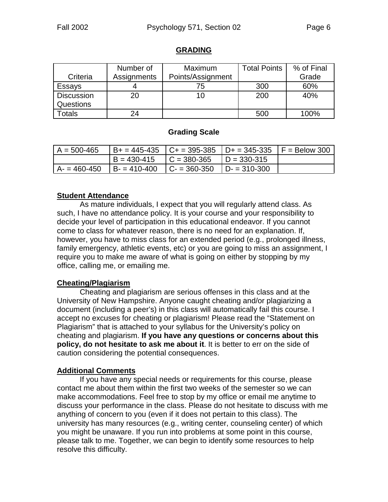#### **GRADING**

|                   | Number of   | Maximum           | <b>Total Points</b> | % of Final |
|-------------------|-------------|-------------------|---------------------|------------|
| Criteria          | Assignments | Points/Assignment |                     | Grade      |
| Essays            |             | 75                | 300                 | 60%        |
| <b>Discussion</b> | 20          | 10                | 200                 | 40%        |
| Questions         |             |                   |                     |            |
| <b>Totals</b>     | 24          |                   | 500                 | 100%       |

#### **Grading Scale**

| $A = 500 - 465$ | $ B+ = 445-435$ $ C+ = 395-385$ $ D+ = 345-335$ $ F =$ Below 300 |  |
|-----------------|------------------------------------------------------------------|--|
|                 | $ B = 430-415$ $ C = 380-365$ $ D = 330-315$                     |  |
| $A = 460 - 450$ | $ B-410-400 $ $ C-360-350 $ $ D-310-300 $                        |  |

#### **Student Attendance**

 As mature individuals, I expect that you will regularly attend class. As such, I have no attendance policy. It is your course and your responsibility to decide your level of participation in this educational endeavor. If you cannot come to class for whatever reason, there is no need for an explanation. If, however, you have to miss class for an extended period (e.g., prolonged illness, family emergency, athletic events, etc) or you are going to miss an assignment, I require you to make me aware of what is going on either by stopping by my office, calling me, or emailing me.

#### **Cheating/Plagiarism**

 Cheating and plagiarism are serious offenses in this class and at the University of New Hampshire. Anyone caught cheating and/or plagiarizing a document (including a peer's) in this class will automatically fail this course. I accept no excuses for cheating or plagiarism! Please read the "Statement on Plagiarism" that is attached to your syllabus for the University's policy on cheating and plagiarism. **If you have any questions or concerns about this policy, do not hesitate to ask me about it**. It is better to err on the side of caution considering the potential consequences.

## **Additional Comments**

 If you have any special needs or requirements for this course, please contact me about them within the first two weeks of the semester so we can make accommodations. Feel free to stop by my office or email me anytime to discuss your performance in the class. Please do not hesitate to discuss with me anything of concern to you (even if it does not pertain to this class). The university has many resources (e.g., writing center, counseling center) of which you might be unaware. If you run into problems at some point in this course, please talk to me. Together, we can begin to identify some resources to help resolve this difficulty.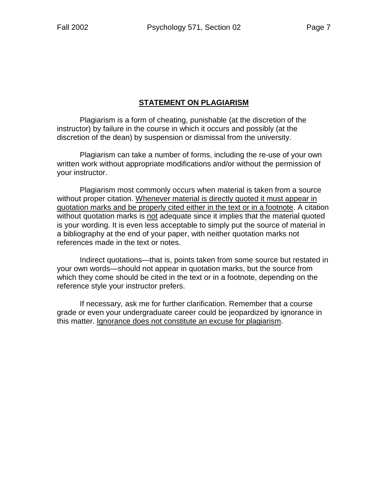# **STATEMENT ON PLAGIARISM**

 Plagiarism is a form of cheating, punishable (at the discretion of the instructor) by failure in the course in which it occurs and possibly (at the discretion of the dean) by suspension or dismissal from the university.

 Plagiarism can take a number of forms, including the re-use of your own written work without appropriate modifications and/or without the permission of your instructor.

 Plagiarism most commonly occurs when material is taken from a source without proper citation. Whenever material is directly quoted it must appear in quotation marks and be properly cited either in the text or in a footnote. A citation without quotation marks is not adequate since it implies that the material quoted is your wording. It is even less acceptable to simply put the source of material in a bibliography at the end of your paper, with neither quotation marks not references made in the text or notes.

 Indirect quotations—that is, points taken from some source but restated in your own words—should not appear in quotation marks, but the source from which they come should be cited in the text or in a footnote, depending on the reference style your instructor prefers.

 If necessary, ask me for further clarification. Remember that a course grade or even your undergraduate career could be jeopardized by ignorance in this matter. Ignorance does not constitute an excuse for plagiarism.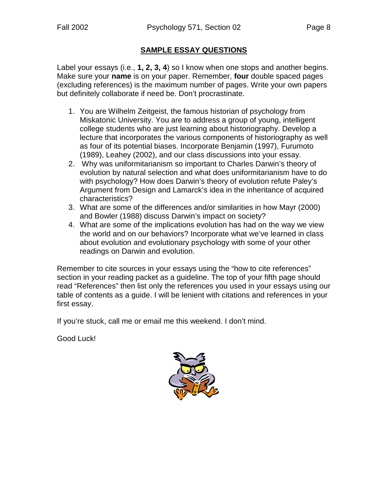### **SAMPLE ESSAY QUESTIONS**

Label your essays (i.e., **1, 2, 3, 4**) so I know when one stops and another begins. Make sure your **name** is on your paper. Remember, **four** double spaced pages (excluding references) is the maximum number of pages. Write your own papers but definitely collaborate if need be. Don't procrastinate.

- 1. You are Wilhelm Zeitgeist, the famous historian of psychology from Miskatonic University. You are to address a group of young, intelligent college students who are just learning about historiography. Develop a lecture that incorporates the various components of historiography as well as four of its potential biases. Incorporate Benjamin (1997), Furumoto (1989), Leahey (2002), and our class discussions into your essay.
- 2. Why was uniformitarianism so important to Charles Darwin's theory of evolution by natural selection and what does uniformitarianism have to do with psychology? How does Darwin's theory of evolution refute Paley's Argument from Design and Lamarck's idea in the inheritance of acquired characteristics?
- 3. What are some of the differences and/or similarities in how Mayr (2000) and Bowler (1988) discuss Darwin's impact on society?
- 4. What are some of the implications evolution has had on the way we view the world and on our behaviors? Incorporate what we've learned in class about evolution and evolutionary psychology with some of your other readings on Darwin and evolution.

Remember to cite sources in your essays using the "how to cite references" section in your reading packet as a guideline. The top of your fifth page should read "References" then list only the references you used in your essays using our table of contents as a guide. I will be lenient with citations and references in your first essay.

If you're stuck, call me or email me this weekend. I don't mind.

Good Luck!